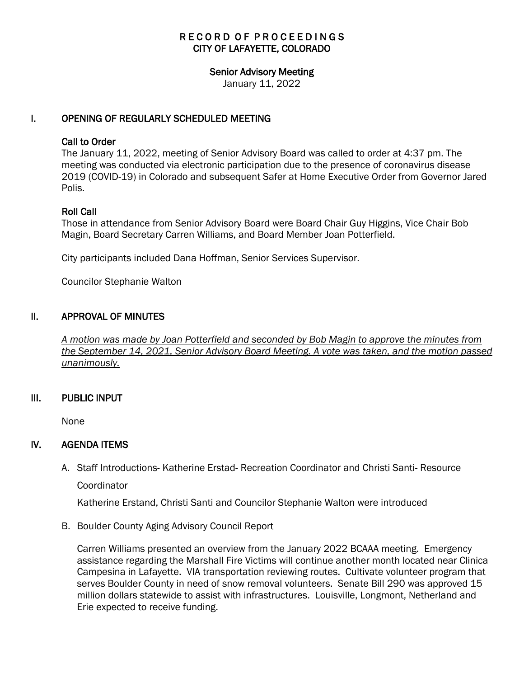# RECORD OF PROCEEDINGS CITY OF LAFAYETTE, COLORADO

#### Senior Advisory Meeting

January 11, 2022

## I. OPENING OF REGULARLY SCHEDULED MEETING

#### Call to Order

The January 11, 2022, meeting of Senior Advisory Board was called to order at 4:37 pm. The meeting was conducted via electronic participation due to the presence of coronavirus disease 2019 (COVID-19) in Colorado and subsequent Safer at Home Executive Order from Governor Jared Polis.

## Roll Call

Those in attendance from Senior Advisory Board were Board Chair Guy Higgins, Vice Chair Bob Magin, Board Secretary Carren Williams, and Board Member Joan Potterfield.

City participants included Dana Hoffman, Senior Services Supervisor.

Councilor Stephanie Walton

## II. APPROVAL OF MINUTES

 *A motion was made by Joan Potterfield and seconded by Bob Magin to approve the minutes from the September 14, 2021, Senior Advisory Board Meeting. A vote was taken, and the motion passed unanimously.*

## III. PUBLIC INPUT

None

## IV. AGENDA ITEMS

A. Staff Introductions- Katherine Erstad- Recreation Coordinator and Christi Santi- Resource **Coordinator** 

Katherine Erstand, Christi Santi and Councilor Stephanie Walton were introduced

B. Boulder County Aging Advisory Council Report

Carren Williams presented an overview from the January 2022 BCAAA meeting. Emergency assistance regarding the Marshall Fire Victims will continue another month located near Clinica Campesina in Lafayette. VIA transportation reviewing routes. Cultivate volunteer program that serves Boulder County in need of snow removal volunteers. Senate Bill 290 was approved 15 million dollars statewide to assist with infrastructures. Louisville, Longmont, Netherland and Erie expected to receive funding.